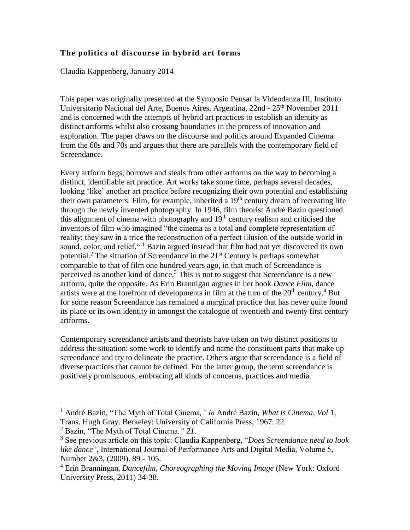## **The politics of discourse in hybrid art forms**

Claudia Kappenberg, January 2014

This paper was originally presented at the Symposio Pensar la Videodanza III, Instituto Universitario Nacional del Arte, Buenos Aires, Argentina, 22nd - 25<sup>th</sup> November 2011 and is concerned with the attempts of hybrid art practices to establish an identity as distinct artforms whilst also crossing boundaries in the process of innovation and exploration. The paper draws on the discourse and politics around Expanded Cinema from the 60s and 70s and argues that there are parallels with the contemporary field of Screendance.

Every artform begs, borrows and steals from other artforms on the way to becoming a distinct, identifiable art practice. Art works take some time, perhaps several decades, looking 'like' another art practice before recognizing their own potential and establishing their own parameters. Film, for example, inherited a  $19<sup>th</sup>$  century dream of recreating life through the newly invented photography. In 1946, film theorist André Bazin questioned this alignment of cinema with photography and 19th century realism and criticised the inventors of film who imagined "the cinema as a total and complete representation of reality; they saw in a trice the reconstruction of a perfect illusion of the outside world in sound, color, and relief." <sup>1</sup> Bazin argued instead that film had not yet discovered its own potential.<sup>2</sup> The situation of Screendance in the  $21<sup>st</sup>$  Century is perhaps somewhat comparable to that of film one hundred years ago, in that much of Screendance is perceived as another kind of dance.<sup>3</sup> This is not to suggest that Screendance is a new artform, quite the opposite. As Erin Brannigan argues in her book *Dance Film*, dance artists were at the forefront of developments in film at the turn of the  $20<sup>th</sup>$  century.<sup>4</sup> But for some reason Screendance has remained a marginal practice that has never quite found its place or its own identity in amongst the catalogue of twentieth and twenty first century artforms.

Contemporary screendance artists and theorists have taken on two distinct positions to address the situation: some work to identify and name the constituent parts that make up screendance and try to delineate the practice. Others argue that screendance is a field of diverse practices that cannot be defined. For the latter group, the term screendance is positively promiscuous, embracing all kinds of concerns, practices and media.

<sup>1</sup> André Bazin, "The Myth of Total Cinema*," in* André Bazin, *What is Cinema, Vol* 1*,*  Trans. Hugh Gray. Berkeley: University of California Press, 1967. 22.

<sup>2</sup> Bazin, "The Myth of Total Cinema*." 21.*

<sup>3</sup> See previous article on this topic: Claudia Kappenberg, "*Does Screendance need to look like dance*", International Journal of Performance Arts and Digital Media, Volume 5, Number 2&3, (2009). 89 - 105.

<sup>4</sup> Erin Branningan, *Dancefilm, Choreographing the Moving Image* (New York: Oxford University Press, 2011) 34-38.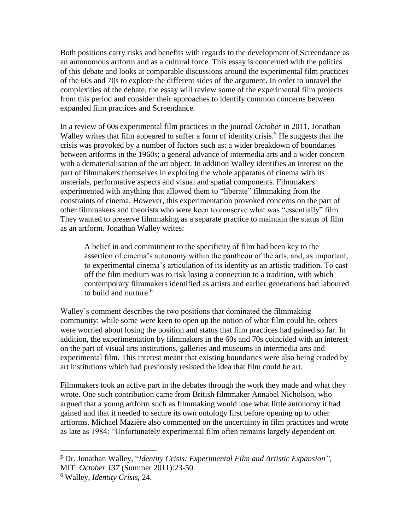Both positions carry risks and benefits with regards to the development of Screendance as an autonomous artform and as a cultural force. This essay is concerned with the politics of this debate and looks at comparable discussions around the experimental film practices of the 60s and 70s to explore the different sides of the argument. In order to unravel the complexities of the debate, the essay will review some of the experimental film projects from this period and consider their approaches to identify common concerns between expanded film practices and Screendance.

In a review of 60s experimental film practices in the journal *October* in 2011, Jonathan Walley writes that film appeared to suffer a form of identity crisis.<sup>5</sup> He suggests that the crisis was provoked by a number of factors such as: a wider breakdown of boundaries between artforms in the 1960s; a general advance of intermedia arts and a wider concern with a dematerialisation of the art object. In addition Walley identifies an interest on the part of filmmakers themselves in exploring the whole apparatus of cinema with its materials, performative aspects and visual and spatial components. Filmmakers experimented with anything that allowed them to "liberate" filmmaking from the constraints of cinema. However, this experimentation provoked concerns on the part of other filmmakers and theorists who were keen to conserve what was "essentially" film. They wanted to preserve filmmaking as a separate practice to maintain the status of film as an artform. Jonathan Walley writes:

A belief in and commitment to the specificity of film had been key to the assertion of cinema's autonomy within the pantheon of the arts, and, as important, to experimental cinema's articulation of its identity as an artistic tradition. To cast off the film medium was to risk losing a connection to a tradition, with which contemporary filmmakers identified as artists and earlier generations had laboured to build and nurture.<sup>6</sup>

Walley's comment describes the two positions that dominated the filmmaking community: while some were keen to open up the notion of what film could be, others were worried about losing the position and status that film practices had gained so far. In addition, the experimentation by filmmakers in the 60s and 70s coincided with an interest on the part of visual arts institutions, galleries and museums in intermedia arts and experimental film. This interest meant that existing boundaries were also being eroded by art institutions which had previously resisted the idea that film could be art.

Filmmakers took an active part in the debates through the work they made and what they wrote. One such contribution came from British filmmaker Annabel Nicholson, who argued that a young artform such as filmmaking would lose what little autonomy it had gained and that it needed to secure its own ontology first before opening up to other artforms. Michael Mazière also commented on the uncertainty in film practices and wrote as late as 1984: "Unfortunately experimental film often remains largely dependent on

**<sup>5</sup>** Dr. Jonathan Walley, "*Identity Crisis: Experimental Film and Artistic Expansion",* MIT: *October 137* (Summer 2011):23-50.

<sup>6</sup> Walley, *Identity Crisis,* 24.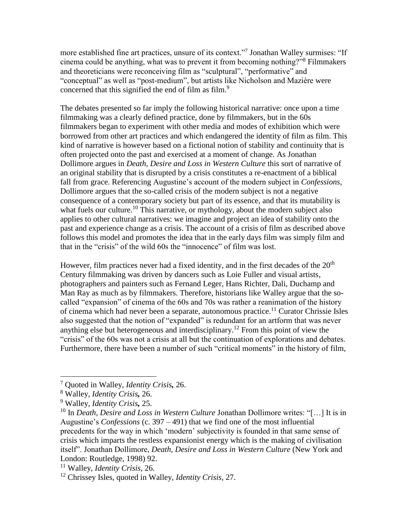more established fine art practices, unsure of its context."<sup>7</sup> Jonathan Walley surmises: "If cinema could be anything, what was to prevent it from becoming nothing?"<sup>8</sup> Filmmakers and theoreticians were reconceiving film as "sculptural", "performative" and "conceptual" as well as "post-medium", but artists like Nicholson and Mazière were concerned that this signified the end of film as film.<sup>9</sup>

The debates presented so far imply the following historical narrative: once upon a time filmmaking was a clearly defined practice, done by filmmakers, but in the 60s filmmakers began to experiment with other media and modes of exhibition which were borrowed from other art practices and which endangered the identity of film as film. This kind of narrative is however based on a fictional notion of stability and continuity that is often projected onto the past and exercised at a moment of change. As Jonathan Dollimore argues in *Death, Desire and Loss in Western Culture* this sort of narrative of an original stability that is disrupted by a crisis constitutes a re-enactment of a biblical fall from grace. Referencing Augustine's account of the modern subject in *Confessions*, Dollimore argues that the so-called crisis of the modern subject is not a negative consequence of a contemporary society but part of its essence, and that its mutability is what fuels our culture.<sup>10</sup> This narrative, or mythology, about the modern subject also applies to other cultural narratives: we imagine and project an idea of stability onto the past and experience change as a crisis. The account of a crisis of film as described above follows this model and promotes the idea that in the early days film was simply film and that in the "crisis" of the wild 60s the "innocence" of film was lost.

However, film practices never had a fixed identity, and in the first decades of the  $20<sup>th</sup>$ Century filmmaking was driven by dancers such as Loie Fuller and visual artists, photographers and painters such as Fernand Leger, Hans Richter, Dali, Duchamp and Man Ray as much as by filmmakers. Therefore, historians like Walley argue that the socalled "expansion" of cinema of the 60s and 70s was rather a reanimation of the history of cinema which had never been a separate, autonomous practice.<sup>11</sup> Curator Chrissie Isles also suggested that the notion of "expanded" is redundant for an artform that was never anything else but heterogeneous and interdisciplinary.<sup>12</sup> From this point of view the "crisis" of the 60s was not a crisis at all but the continuation of explorations and debates. Furthermore, there have been a number of such "critical moments" in the history of film,

<sup>7</sup> Quoted in Walley, *Identity Crisis,* 26.

<sup>8</sup> Walley, *Identity Crisis,* 26.

<sup>9</sup> Walley, *Identity Crisis,* 25.

<sup>10</sup> In *Death, Desire and Loss in Western Culture* Jonathan Dollimore writes: "[…] It is in Augustine's *Confessions* (c. 397 – 491) that we find one of the most influential precedents for the way in which 'modern' subjectivity is founded in that same sense of crisis which imparts the restless expansionist energy which is the making of civilisation itself". Jonathan Dollimore, *Death, Desire and Loss in Western Culture* (New York and London: Routledge, 1998) 92.

<sup>11</sup> Walley, *Identity Crisis,* 26.

<sup>12</sup> Chrissey Isles, quoted in Walley, *Identity Crisis,* 27.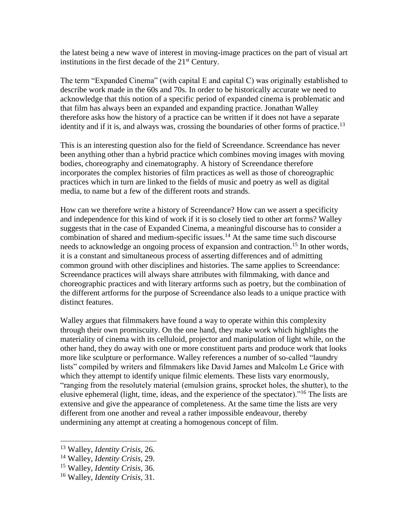the latest being a new wave of interest in moving-image practices on the part of visual art institutions in the first decade of the  $21<sup>st</sup>$  Century.

The term "Expanded Cinema" (with capital E and capital C) was originally established to describe work made in the 60s and 70s. In order to be historically accurate we need to acknowledge that this notion of a specific period of expanded cinema is problematic and that film has always been an expanded and expanding practice. Jonathan Walley therefore asks how the history of a practice can be written if it does not have a separate identity and if it is, and always was, crossing the boundaries of other forms of practice.<sup>13</sup>

This is an interesting question also for the field of Screendance. Screendance has never been anything other than a hybrid practice which combines moving images with moving bodies, choreography and cinematography. A history of Screendance therefore incorporates the complex histories of film practices as well as those of choreographic practices which in turn are linked to the fields of music and poetry as well as digital media, to name but a few of the different roots and strands.

How can we therefore write a history of Screendance? How can we assert a specificity and independence for this kind of work if it is so closely tied to other art forms? Walley suggests that in the case of Expanded Cinema, a meaningful discourse has to consider a combination of shared and medium-specific issues.<sup>14</sup> At the same time such discourse needs to acknowledge an ongoing process of expansion and contraction.<sup>15</sup> In other words, it is a constant and simultaneous process of asserting differences and of admitting common ground with other disciplines and histories. The same applies to Screendance: Screendance practices will always share attributes with filmmaking, with dance and choreographic practices and with literary artforms such as poetry, but the combination of the different artforms for the purpose of Screendance also leads to a unique practice with distinct features.

Walley argues that filmmakers have found a way to operate within this complexity through their own promiscuity. On the one hand, they make work which highlights the materiality of cinema with its celluloid, projector and manipulation of light while, on the other hand, they do away with one or more constituent parts and produce work that looks more like sculpture or performance. Walley references a number of so-called "laundry lists" compiled by writers and filmmakers like David James and Malcolm Le Grice with which they attempt to identify unique filmic elements. These lists vary enormously, "ranging from the resolutely material (emulsion grains, sprocket holes, the shutter), to the elusive ephemeral (light, time, ideas, and the experience of the spectator).<sup>"16</sup> The lists are extensive and give the appearance of completeness. At the same time the lists are very different from one another and reveal a rather impossible endeavour, thereby undermining any attempt at creating a homogenous concept of film.

<sup>13</sup> Walley, *Identity Crisis,* 26.

<sup>14</sup> Walley, *Identity Crisis,* 29.

<sup>15</sup> Walley, *Identity Crisis,* 36.

<sup>16</sup> Walley, *Identity Crisis,* 31.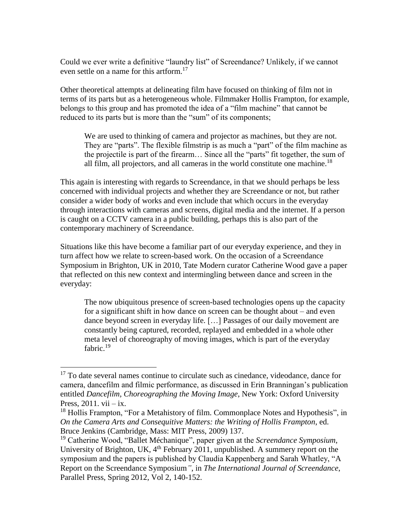Could we ever write a definitive "laundry list" of Screendance? Unlikely, if we cannot even settle on a name for this artform.<sup>17</sup>

Other theoretical attempts at delineating film have focused on thinking of film not in terms of its parts but as a heterogeneous whole. Filmmaker Hollis Frampton, for example, belongs to this group and has promoted the idea of a "film machine" that cannot be reduced to its parts but is more than the "sum" of its components;

We are used to thinking of camera and projector as machines, but they are not. They are "parts". The flexible filmstrip is as much a "part" of the film machine as the projectile is part of the firearm… Since all the "parts" fit together, the sum of all film, all projectors, and all cameras in the world constitute one machine.<sup>18</sup>

This again is interesting with regards to Screendance, in that we should perhaps be less concerned with individual projects and whether they are Screendance or not, but rather consider a wider body of works and even include that which occurs in the everyday through interactions with cameras and screens, digital media and the internet. If a person is caught on a CCTV camera in a public building, perhaps this is also part of the contemporary machinery of Screendance.

Situations like this have become a familiar part of our everyday experience, and they in turn affect how we relate to screen-based work. On the occasion of a Screendance Symposium in Brighton, UK in 2010, Tate Modern curator Catherine Wood gave a paper that reflected on this new context and intermingling between dance and screen in the everyday:

The now ubiquitous presence of screen-based technologies opens up the capacity for a significant shift in how dance on screen can be thought about – and even dance beyond screen in everyday life. […] Passages of our daily movement are constantly being captured, recorded, replayed and embedded in a whole other meta level of choreography of moving images, which is part of the everyday fabric.<sup>19</sup>

<sup>&</sup>lt;sup>17</sup> To date several names continue to circulate such as cinedance, videodance, dance for camera, dancefilm and filmic performance, as discussed in Erin Branningan's publication entitled *Dancefilm, Choreographing the Moving Image*, New York: Oxford University Press,  $2011. \text{vii} - \text{i} \text{x}$ .

<sup>&</sup>lt;sup>18</sup> Hollis Frampton, "For a Metahistory of film. Commonplace Notes and Hypothesis", in *On the Camera Arts and Consequitive Matters: the Writing of Hollis Frampton*, ed. Bruce Jenkins (Cambridge, Mass: MIT Press, 2009) 137.

<sup>19</sup> Catherine Wood, "Ballet Méchanique", paper given at the *Screendance Symposium*, University of Brighton, UK,  $4<sup>th</sup>$  February 2011, unpublished. A summery report on the symposium and the papers is published by Claudia Kappenberg and Sarah Whatley, "A Report on the Screendance Symposium*"*, in *The International Journal of Screendance*, Parallel Press, Spring 2012, Vol 2, 140-152.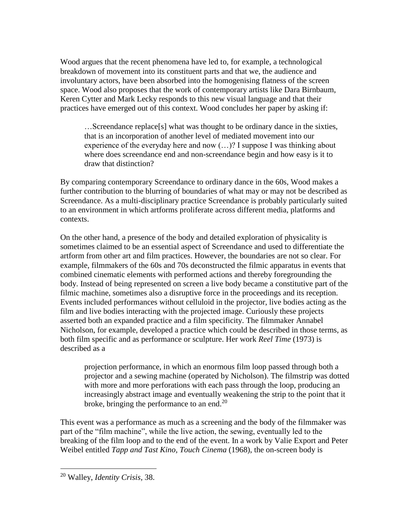Wood argues that the recent phenomena have led to, for example, a technological breakdown of movement into its constituent parts and that we, the audience and involuntary actors, have been absorbed into the homogenising flatness of the screen space. Wood also proposes that the work of contemporary artists like Dara Birnbaum, Keren Cytter and Mark Lecky responds to this new visual language and that their practices have emerged out of this context. Wood concludes her paper by asking if:

…Screendance replace[s] what was thought to be ordinary dance in the sixties, that is an incorporation of another level of mediated movement into our experience of the everyday here and now  $(...)$ ? I suppose I was thinking about where does screendance end and non-screendance begin and how easy is it to draw that distinction?

By comparing contemporary Screendance to ordinary dance in the 60s, Wood makes a further contribution to the blurring of boundaries of what may or may not be described as Screendance. As a multi-disciplinary practice Screendance is probably particularly suited to an environment in which artforms proliferate across different media, platforms and contexts.

On the other hand, a presence of the body and detailed exploration of physicality is sometimes claimed to be an essential aspect of Screendance and used to differentiate the artform from other art and film practices. However, the boundaries are not so clear. For example, filmmakers of the 60s and 70s deconstructed the filmic apparatus in events that combined cinematic elements with performed actions and thereby foregrounding the body. Instead of being represented on screen a live body became a constitutive part of the filmic machine, sometimes also a disruptive force in the proceedings and its reception. Events included performances without celluloid in the projector, live bodies acting as the film and live bodies interacting with the projected image. Curiously these projects asserted both an expanded practice and a film specificity. The filmmaker Annabel Nicholson, for example, developed a practice which could be described in those terms, as both film specific and as performance or sculpture. Her work *Reel Time* (1973) is described as a

projection performance, in which an enormous film loop passed through both a projector and a sewing machine (operated by Nicholson). The filmstrip was dotted with more and more perforations with each pass through the loop, producing an increasingly abstract image and eventually weakening the strip to the point that it broke, bringing the performance to an end. $^{20}$ 

This event was a performance as much as a screening and the body of the filmmaker was part of the "film machine", while the live action, the sewing, eventually led to the breaking of the film loop and to the end of the event. In a work by Valie Export and Peter Weibel entitled *Tapp and Tast Kino, Touch Cinema* (1968), the on-screen body is

<sup>20</sup> Walley, *Identity Crisis,* 38.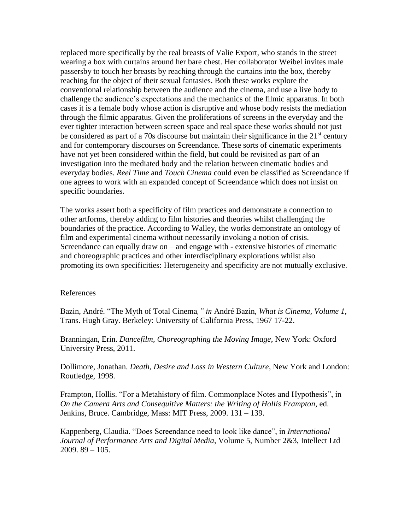replaced more specifically by the real breasts of Valie Export, who stands in the street wearing a box with curtains around her bare chest. Her collaborator Weibel invites male passersby to touch her breasts by reaching through the curtains into the box, thereby reaching for the object of their sexual fantasies. Both these works explore the conventional relationship between the audience and the cinema, and use a live body to challenge the audience's expectations and the mechanics of the filmic apparatus. In both cases it is a female body whose action is disruptive and whose body resists the mediation through the filmic apparatus. Given the proliferations of screens in the everyday and the ever tighter interaction between screen space and real space these works should not just be considered as part of a 70s discourse but maintain their significance in the  $21<sup>st</sup>$  century and for contemporary discourses on Screendance. These sorts of cinematic experiments have not yet been considered within the field, but could be revisited as part of an investigation into the mediated body and the relation between cinematic bodies and everyday bodies. *Reel Time* and *Touch Cinema* could even be classified as Screendance if one agrees to work with an expanded concept of Screendance which does not insist on specific boundaries.

The works assert both a specificity of film practices and demonstrate a connection to other artforms, thereby adding to film histories and theories whilst challenging the boundaries of the practice. According to Walley, the works demonstrate an ontology of film and experimental cinema without necessarily invoking a notion of crisis. Screendance can equally draw on – and engage with - extensive histories of cinematic and choreographic practices and other interdisciplinary explorations whilst also promoting its own specificities: Heterogeneity and specificity are not mutually exclusive.

## References

Bazin, André. "The Myth of Total Cinema*," in* André Bazin, *What is Cinema, Volume 1,*  Trans. Hugh Gray. Berkeley: University of California Press, 1967 17-22.

Branningan, Erin. *Dancefilm, Choreographing the Moving Image*, New York: Oxford University Press, 2011.

Dollimore, Jonathan. *Death*, *Desire and Loss in Western Culture*, New York and London: Routledge, 1998.

Frampton, Hollis. "For a Metahistory of film. Commonplace Notes and Hypothesis", in *On the Camera Arts and Consequitive Matters: the Writing of Hollis Frampton*, ed. Jenkins, Bruce. Cambridge, Mass: MIT Press, 2009. 131 – 139.

Kappenberg, Claudia. "Does Screendance need to look like dance", in *International Journal of Performance Arts and Digital Media*, Volume 5, Number 2&3, Intellect Ltd 2009. 89 – 105.